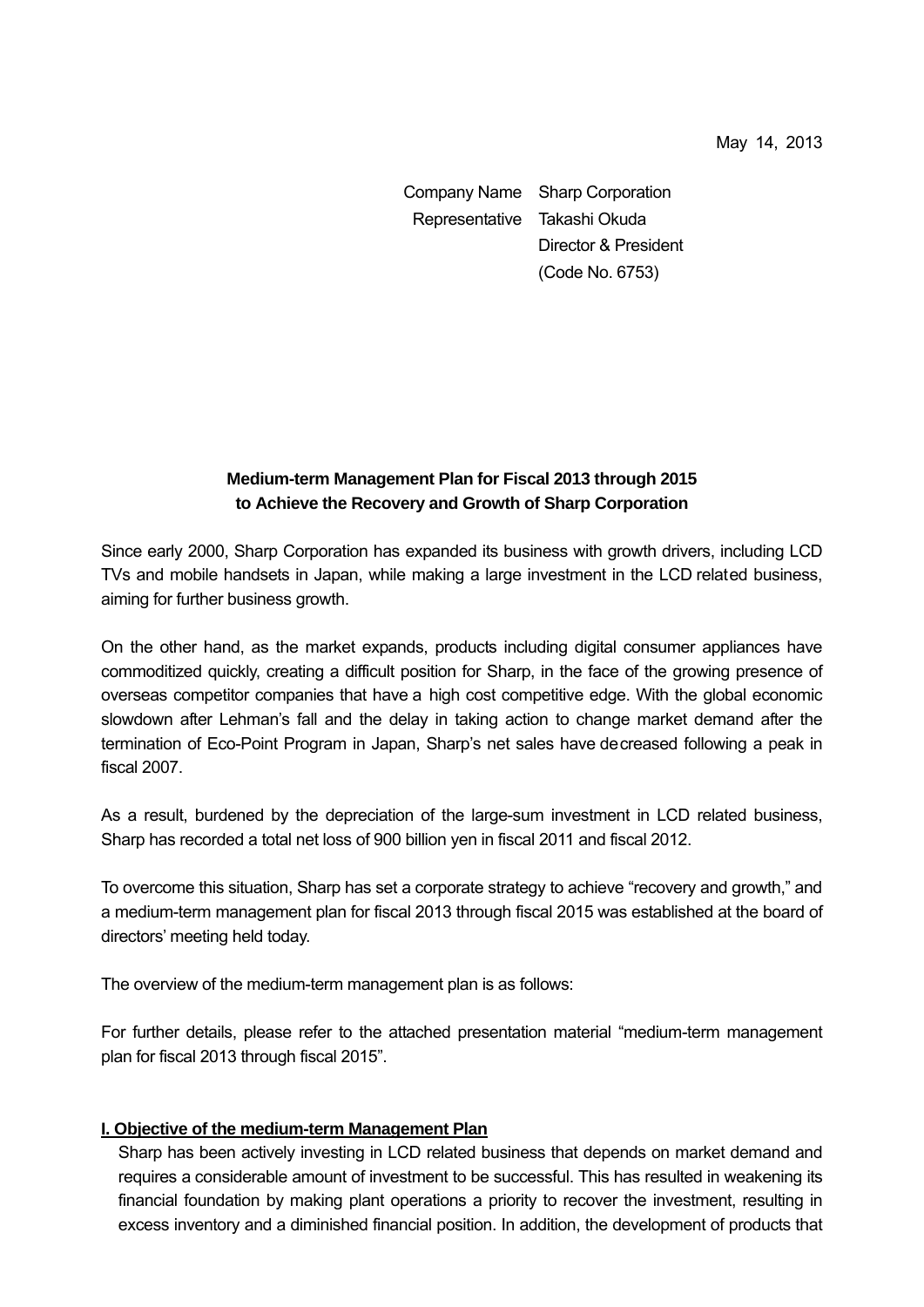Company Name Sharp Corporation Representative Takashi Okuda Director & President (Code No. 6753)

# **Medium-term Management Plan for Fiscal 2013 through 2015 to Achieve the Recovery and Growth of Sharp Corporation**

Since early 2000, Sharp Corporation has expanded its business with growth drivers, including LCD TVs and mobile handsets in Japan, while making a large investment in the LCD related business, aiming for further business growth.

On the other hand, as the market expands, products including digital consumer appliances have commoditized quickly, creating a difficult position for Sharp, in the face of the growing presence of overseas competitor companies that have a high cost competitive edge. With the global economic slowdown after Lehman's fall and the delay in taking action to change market demand after the termination of Eco-Point Program in Japan, Sharp's net sales have decreased following a peak in fiscal 2007.

As a result, burdened by the depreciation of the large-sum investment in LCD related business, Sharp has recorded a total net loss of 900 billion yen in fiscal 2011 and fiscal 2012.

To overcome this situation, Sharp has set a corporate strategy to achieve "recovery and growth," and a medium-term management plan for fiscal 2013 through fiscal 2015 was established at the board of directors' meeting held today.

The overview of the medium-term management plan is as follows:

For further details, please refer to the attached presentation material "medium-term management plan for fiscal 2013 through fiscal 2015".

### **I. Objective of the medium-term Management Plan**

Sharp has been actively investing in LCD related business that depends on market demand and requires a considerable amount of investment to be successful. This has resulted in weakening its financial foundation by making plant operations a priority to recover the investment, resulting in excess inventory and a diminished financial position. In addition, the development of products that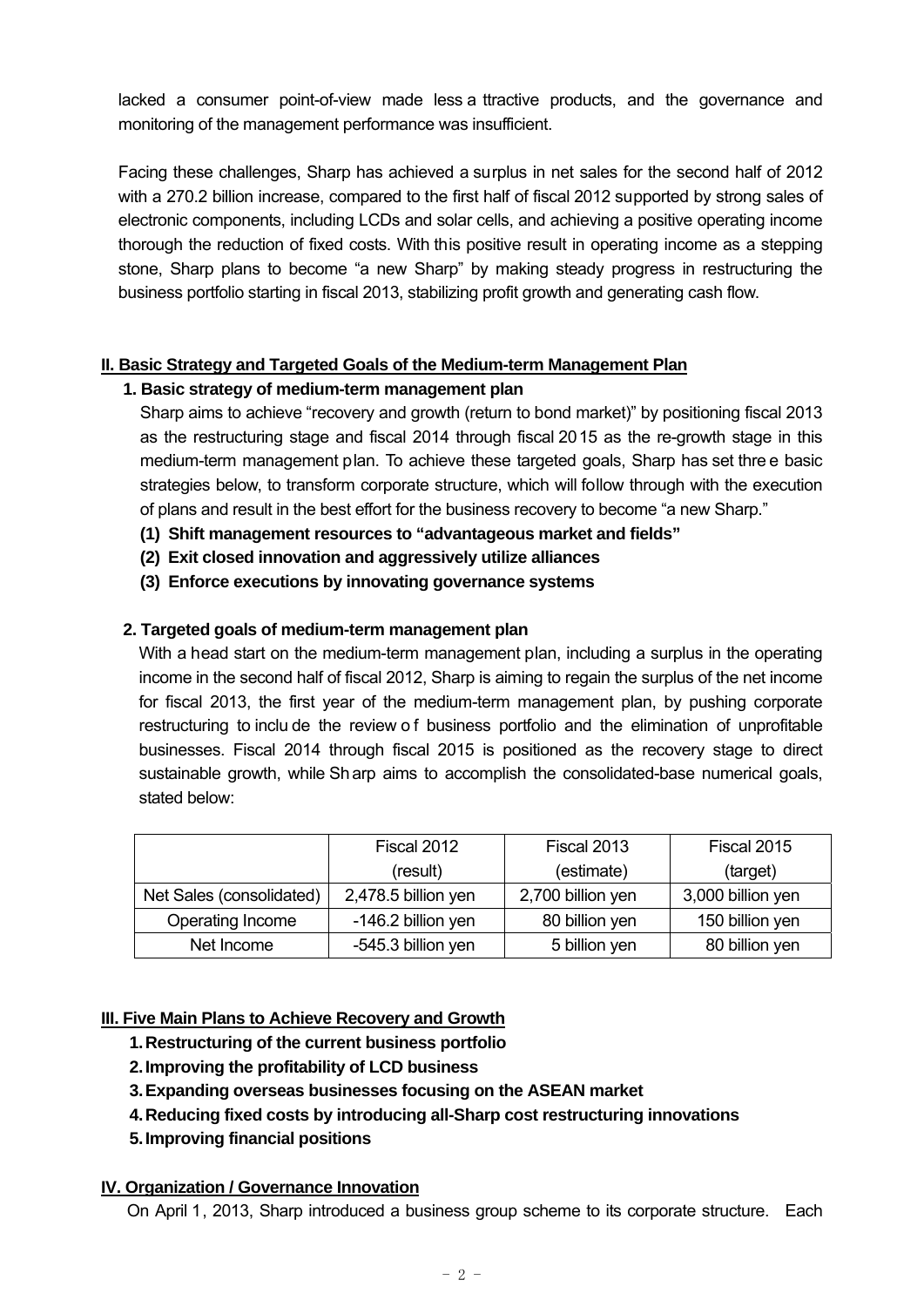lacked a consumer point-of-view made less a ttractive products, and the governance and monitoring of the management performance was insufficient.

Facing these challenges, Sharp has achieved a surplus in net sales for the second half of 2012 with a 270.2 billion increase, compared to the first half of fiscal 2012 supported by strong sales of electronic components, including LCDs and solar cells, and achieving a positive operating income thorough the reduction of fixed costs. With this positive result in operating income as a stepping stone, Sharp plans to become "a new Sharp" by making steady progress in restructuring the business portfolio starting in fiscal 2013, stabilizing profit growth and generating cash flow.

## **II. Basic Strategy and Targeted Goals of the Medium-term Management Plan**

## **1. Basic strategy of medium-term management plan**

Sharp aims to achieve "recovery and growth (return to bond market)" by positioning fiscal 2013 as the restructuring stage and fiscal 2014 through fiscal 2015 as the re-growth stage in this medium-term management plan. To achieve these targeted goals, Sharp has set thre e basic strategies below, to transform corporate structure, which will follow through with the execution of plans and result in the best effort for the business recovery to become "a new Sharp."

- **(1) Shift management resources to "advantageous market and fields"**
- **(2) Exit closed innovation and aggressively utilize alliances**
- **(3) Enforce executions by innovating governance systems**

### **2. Targeted goals of medium-term management plan**

With a head start on the medium-term management plan, including a surplus in the operating income in the second half of fiscal 2012, Sharp is aiming to regain the surplus of the net income for fiscal 2013, the first year of the medium-term management plan, by pushing corporate restructuring to inclu de the review o f business portfolio and the elimination of unprofitable businesses. Fiscal 2014 through fiscal 2015 is positioned as the recovery stage to direct sustainable growth, while Sharp aims to accomplish the consolidated-base numerical goals, stated below:

|                          | Fiscal 2012         | Fiscal 2013       | Fiscal 2015       |
|--------------------------|---------------------|-------------------|-------------------|
|                          | (result)            | (estimate)        | (target)          |
| Net Sales (consolidated) | 2,478.5 billion yen | 2,700 billion yen | 3,000 billion yen |
| Operating Income         | -146.2 billion yen  | 80 billion yen    | 150 billion yen   |
| Net Income               | -545.3 billion yen  | 5 billion yen     | 80 billion yen    |

### **III. Five Main Plans to Achieve Recovery and Growth**

- **1. Restructuring of the current business portfolio**
- **2. Improving the profitability of LCD business**
- **3. Expanding overseas businesses focusing on the ASEAN market**
- **4. Reducing fixed costs by introducing all-Sharp cost restructuring innovations**
- **5. Improving financial positions**

### **IV. Organization / Governance Innovation**

On April 1, 2013, Sharp introduced a business group scheme to its corporate structure. Each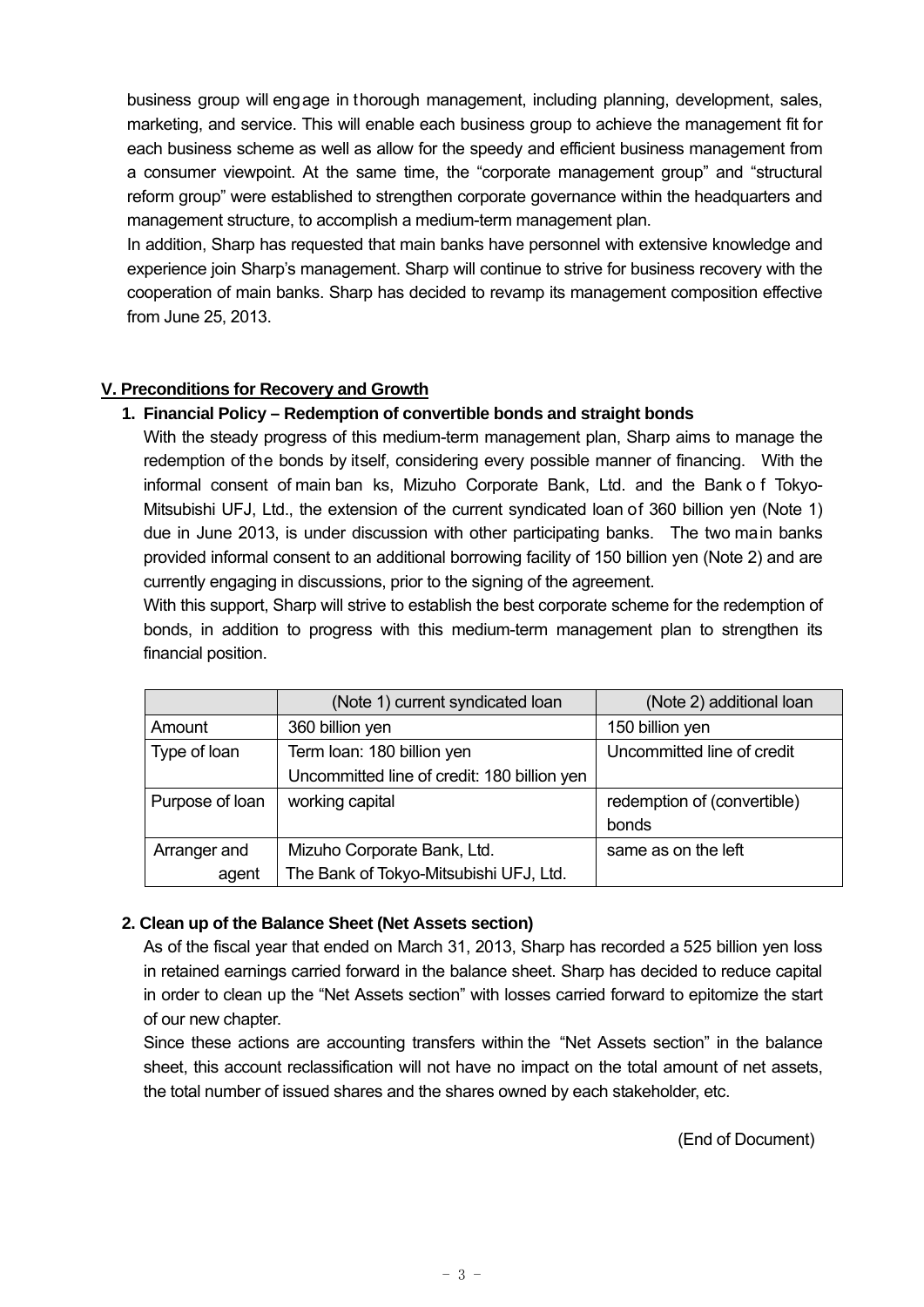business group will engage in thorough management, including planning, development, sales, marketing, and service. This will enable each business group to achieve the management fit for each business scheme as well as allow for the speedy and efficient business management from a consumer viewpoint. At the same time, the "corporate management group" and "structural reform group" were established to strengthen corporate governance within the headquarters and management structure, to accomplish a medium-term management plan.

In addition, Sharp has requested that main banks have personnel with extensive knowledge and experience join Sharp's management. Sharp will continue to strive for business recovery with the cooperation of main banks. Sharp has decided to revamp its management composition effective from June 25, 2013.

## **V. Preconditions for Recovery and Growth**

## **1. Financial Policy – Redemption of convertible bonds and straight bonds**

With the steady progress of this medium-term management plan, Sharp aims to manage the redemption of the bonds by itself, considering every possible manner of financing. With the informal consent of main ban ks, Mizuho Corporate Bank, Ltd. and the Bank o f Tokyo-Mitsubishi UFJ, Ltd., the extension of the current syndicated loan of 360 billion yen (Note 1) due in June 2013, is under discussion with other participating banks. The two main banks provided informal consent to an additional borrowing facility of 150 billion yen (Note 2) and are currently engaging in discussions, prior to the signing of the agreement.

With this support, Sharp will strive to establish the best corporate scheme for the redemption of bonds, in addition to progress with this medium-term management plan to strengthen its financial position.

|                 | (Note 1) current syndicated loan            | (Note 2) additional loan    |
|-----------------|---------------------------------------------|-----------------------------|
| Amount          | 360 billion yen                             | 150 billion yen             |
| Type of loan    | Term loan: 180 billion yen                  | Uncommitted line of credit  |
|                 | Uncommitted line of credit: 180 billion yen |                             |
| Purpose of loan | working capital                             | redemption of (convertible) |
|                 |                                             | bonds                       |
| Arranger and    | Mizuho Corporate Bank, Ltd.                 | same as on the left         |
| agent           | The Bank of Tokyo-Mitsubishi UFJ, Ltd.      |                             |

### **2. Clean up of the Balance Sheet (Net Assets section)**

As of the fiscal year that ended on March 31, 2013, Sharp has recorded a 525 billion yen loss in retained earnings carried forward in the balance sheet. Sharp has decided to reduce capital in order to clean up the "Net Assets section" with losses carried forward to epitomize the start of our new chapter.

Since these actions are accounting transfers within the "Net Assets section" in the balance sheet, this account reclassification will not have no impact on the total amount of net assets, the total number of issued shares and the shares owned by each stakeholder, etc.

(End of Document)